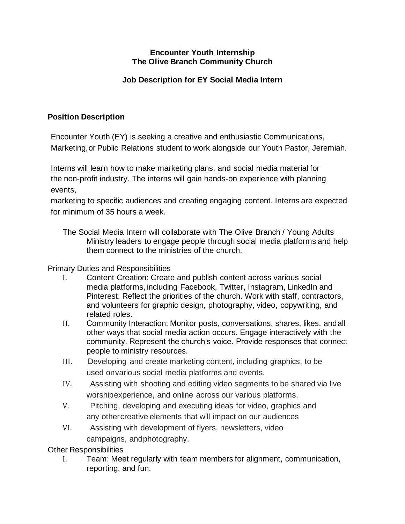## **Encounter Youth Internship The Olive Branch Community Church**

# **Job Description for EY Social Media Intern**

## **Position Description**

Encounter Youth (EY) is seeking a creative and enthusiastic Communications, Marketing,or Public Relations student to work alongside our Youth Pastor, Jeremiah.

Interns will learn how to make marketing plans, and social media material for the non-profit industry. The interns will gain hands-on experience with planning events,

marketing to specific audiences and creating engaging content. Interns are expected for minimum of 35 hours a week.

The Social Media Intern will collaborate with The Olive Branch / Young Adults Ministry leaders to engage people through social media platforms and help them connect to the ministries of the church.

#### Primary Duties and Responsibilities

- I. Content Creation: Create and publish content across various social media platforms, including Facebook, Twitter, Instagram, LinkedIn and Pinterest. Reflect the priorities of the church. Work with staff, contractors, and volunteers for graphic design, photography, video, copywriting, and related roles.
- II. Community Interaction: Monitor posts, conversations, shares, likes, andall other ways that social media action occurs. Engage interactively with the community. Represent the church's voice. Provide responses that connect people to ministry resources.
- III. Developing and create marketing content, including graphics, to be used onvarious social media platforms and events.
- IV. Assisting with shooting and editing video segments to be shared via live worshipexperience, and online across our various platforms.
- V. Pitching, developing and executing ideas for video, graphics and any othercreative elements that will impact on our audiences
- VI. Assisting with development of flyers, newsletters, video campaigns, andphotography.

Other Responsibilities

I. Team: Meet regularly with team members for alignment, communication, reporting, and fun.